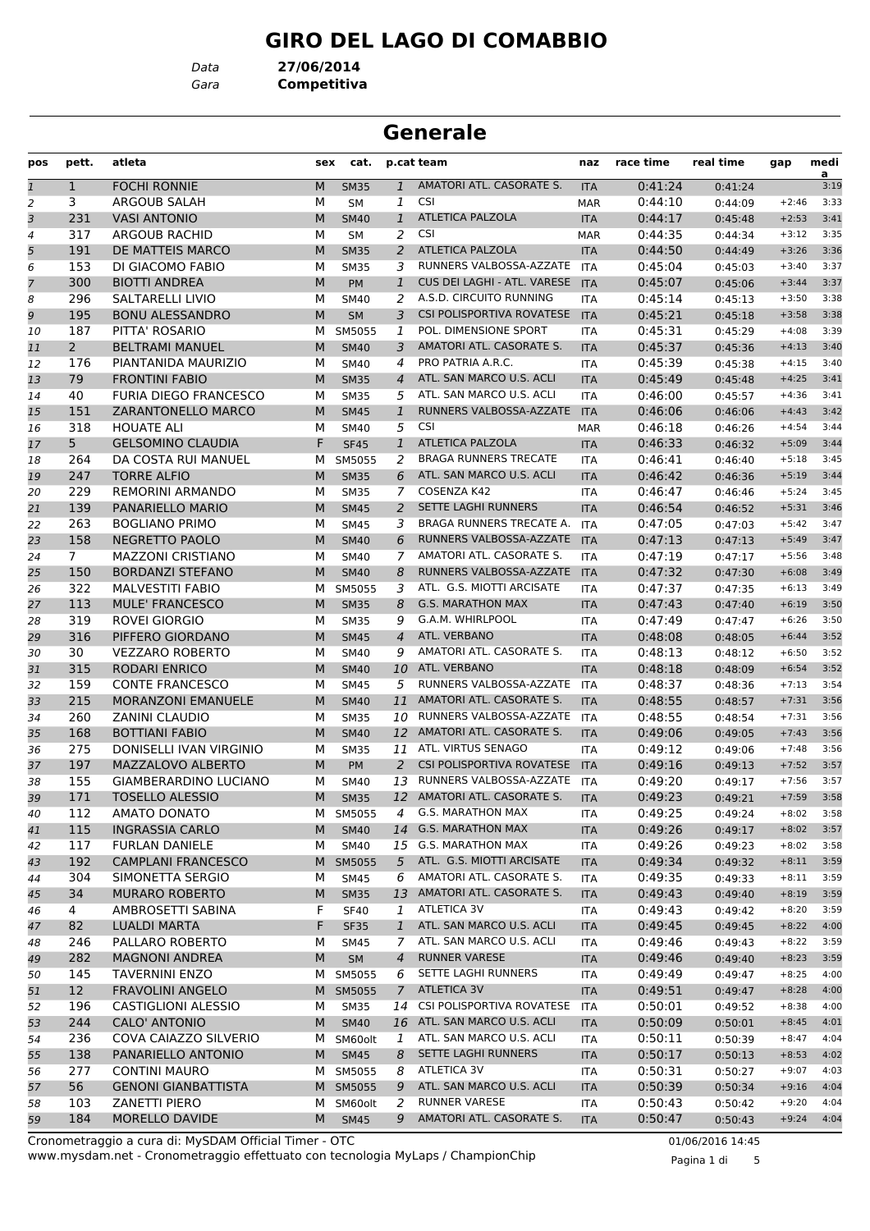# **GIRO DEL LAGO DI COMABBIO**

*Data* **27/06/2014**

*Gara* **Competitiva**

# **Generale**

| pos | pett.          | atleta                       | sex | cat.        |                | p.cat team                       | naz        | race time | real time | gap     | medi<br>a |
|-----|----------------|------------------------------|-----|-------------|----------------|----------------------------------|------------|-----------|-----------|---------|-----------|
| 1   | 1              | <b>FOCHI RONNIE</b>          | M   | <b>SM35</b> | $\mathbf{1}$   | AMATORI ATL. CASORATE S.         | <b>ITA</b> | 0:41:24   | 0:41:24   |         | 3:19      |
| 2   | 3              | ARGOUB SALAH                 | М   | <b>SM</b>   | 1              | <b>CSI</b>                       | <b>MAR</b> | 0:44:10   | 0:44:09   | $+2:46$ | 3:33      |
| 3   | 231            | <b>VASI ANTONIO</b>          | M   | <b>SM40</b> | $\mathbf{1}$   | <b>ATLETICA PALZOLA</b>          | <b>ITA</b> | 0:44:17   | 0:45:48   | $+2:53$ | 3:41      |
| 4   | 317            | ARGOUB RACHID                | М   | <b>SM</b>   | 2              | <b>CSI</b>                       | <b>MAR</b> | 0:44:35   | 0:44:34   | $+3:12$ | 3:35      |
| 5   | 191            | DE MATTEIS MARCO             | M   | <b>SM35</b> | 2              | <b>ATLETICA PALZOLA</b>          | <b>ITA</b> | 0:44:50   | 0:44:49   | $+3:26$ | 3:36      |
| 6   | 153            | DI GIACOMO FABIO             | м   | <b>SM35</b> | 3              | RUNNERS VALBOSSA-AZZATE          | ITA        | 0:45:04   | 0:45:03   | $+3:40$ | 3:37      |
| 7   | 300            | <b>BIOTTI ANDREA</b>         | M   | <b>PM</b>   | $\mathbf{1}$   | CUS DEI LAGHI - ATL. VARESE      | <b>ITA</b> | 0:45:07   | 0:45:06   | $+3:44$ | 3:37      |
| 8   | 296            | <b>SALTARELLI LIVIO</b>      | М   | <b>SM40</b> | 2              | A.S.D. CIRCUITO RUNNING          | <b>ITA</b> | 0:45:14   | 0:45:13   | $+3:50$ | 3:38      |
| 9   | 195            | <b>BONU ALESSANDRO</b>       | M   | <b>SM</b>   | 3              | <b>CSI POLISPORTIVA ROVATESE</b> | <b>ITA</b> | 0:45:21   | 0:45:18   | $+3:58$ | 3:38      |
| 10  | 187            | PITTA' ROSARIO               | м   | SM5055      | 1              | POL. DIMENSIONE SPORT            | <b>ITA</b> | 0:45:31   | 0:45:29   | $+4:08$ | 3:39      |
| 11  | $2^{\circ}$    | <b>BELTRAMI MANUEL</b>       | M   | <b>SM40</b> | 3              | AMATORI ATL. CASORATE S.         | <b>ITA</b> | 0:45:37   | 0:45:36   | $+4:13$ | 3:40      |
| 12  | 176            | PIANTANIDA MAURIZIO          | м   | <b>SM40</b> | 4              | PRO PATRIA A.R.C.                | <b>ITA</b> | 0:45:39   | 0:45:38   | $+4:15$ | 3:40      |
| 13  | 79             | <b>FRONTINI FABIO</b>        | M   | <b>SM35</b> | $\overline{4}$ | ATL. SAN MARCO U.S. ACLI         | <b>ITA</b> | 0:45:49   | 0:45:48   | $+4:25$ | 3:41      |
| 14  | 40             | <b>FURIA DIEGO FRANCESCO</b> | М   | <b>SM35</b> | 5              | ATL. SAN MARCO U.S. ACLI         | ITA        | 0:46:00   | 0:45:57   | $+4:36$ | 3:41      |
| 15  | 151            | ZARANTONELLO MARCO           | M   | <b>SM45</b> | $\mathbf{1}$   | RUNNERS VALBOSSA-AZZATE          | <b>ITA</b> | 0:46:06   | 0:46:06   | $+4:43$ | 3:42      |
| 16  | 318            | <b>HOUATE ALI</b>            | м   | <b>SM40</b> | 5              | <b>CSI</b>                       | <b>MAR</b> | 0:46:18   | 0:46:26   | $+4:54$ | 3:44      |
| 17  | 5 <sup>5</sup> | <b>GELSOMINO CLAUDIA</b>     | F   | <b>SF45</b> | $\mathbf{1}$   | <b>ATLETICA PALZOLA</b>          | <b>ITA</b> | 0:46:33   | 0:46:32   | $+5:09$ | 3:44      |
| 18  | 264            | DA COSTA RUI MANUEL          | м   | SM5055      | 2              | <b>BRAGA RUNNERS TRECATE</b>     | ITA        | 0:46:41   | 0:46:40   | $+5:18$ | 3:45      |
| 19  | 247            | <b>TORRE ALFIO</b>           | M   | <b>SM35</b> | 6              | ATL. SAN MARCO U.S. ACLI         | <b>ITA</b> | 0:46:42   | 0:46:36   | $+5:19$ | 3:44      |
| 20  | 229            | <b>REMORINI ARMANDO</b>      | М   | <b>SM35</b> | 7              | COSENZA K42                      | ITA        | 0:46:47   | 0:46:46   | $+5:24$ | 3:45      |
| 21  | 139            | PANARIELLO MARIO             | M   | <b>SM45</b> | $\overline{a}$ | <b>SETTE LAGHI RUNNERS</b>       | <b>ITA</b> | 0:46:54   | 0:46:52   | $+5:31$ | 3:46      |
| 22  | 263            | <b>BOGLIANO PRIMO</b>        | м   | <b>SM45</b> | 3              | <b>BRAGA RUNNERS TRECATE A.</b>  | ITA        | 0:47:05   | 0:47:03   | $+5:42$ | 3:47      |
| 23  | 158            | <b>NEGRETTO PAOLO</b>        | M   | <b>SM40</b> | 6              | RUNNERS VALBOSSA-AZZATE          | <b>ITA</b> | 0:47:13   | 0:47:13   | $+5:49$ | 3:47      |
| 24  | $\overline{7}$ | <b>MAZZONI CRISTIANO</b>     | М   | <b>SM40</b> | 7              | AMATORI ATL. CASORATE S.         | <b>ITA</b> | 0:47:19   | 0:47:17   | $+5:56$ | 3:48      |
| 25  | 150            | <b>BORDANZI STEFANO</b>      | M   | <b>SM40</b> | 8              | RUNNERS VALBOSSA-AZZATE          | <b>ITA</b> | 0:47:32   | 0:47:30   | $+6:08$ | 3:49      |
| 26  | 322            | <b>MALVESTITI FABIO</b>      | м   | SM5055      | 3              | ATL. G.S. MIOTTI ARCISATE        | <b>ITA</b> | 0:47:37   | 0:47:35   | $+6:13$ | 3:49      |
| 27  | 113            | <b>MULE' FRANCESCO</b>       | M   | <b>SM35</b> | 8              | <b>G.S. MARATHON MAX</b>         | <b>ITA</b> | 0:47:43   | 0:47:40   | $+6:19$ | 3:50      |
| 28  | 319            | ROVEI GIORGIO                | М   | <b>SM35</b> | 9              | G.A.M. WHIRLPOOL                 | <b>ITA</b> | 0:47:49   | 0:47:47   | $+6:26$ | 3:50      |
| 29  | 316            | PIFFERO GIORDANO             | M   | <b>SM45</b> | $\overline{4}$ | ATL. VERBANO                     | <b>ITA</b> | 0:48:08   | 0:48:05   | $+6:44$ | 3:52      |
| 30  | 30             | <b>VEZZARO ROBERTO</b>       | М   | <b>SM40</b> | 9              | AMATORI ATL. CASORATE S.         | <b>ITA</b> | 0:48:13   | 0:48:12   | $+6:50$ | 3:52      |
| 31  | 315            | RODARI ENRICO                | M   | <b>SM40</b> | 10             | ATL. VERBANO                     | <b>ITA</b> | 0:48:18   | 0:48:09   | $+6:54$ | 3:52      |
| 32  | 159            | <b>CONTE FRANCESCO</b>       | М   | <b>SM45</b> | 5              | RUNNERS VALBOSSA-AZZATE          | ITA        | 0:48:37   | 0:48:36   | $+7:13$ | 3:54      |
| 33  | 215            | MORANZONI EMANUELE           | M   | <b>SM40</b> | 11             | AMATORI ATL. CASORATE S.         | <b>ITA</b> | 0:48:55   | 0:48:57   | $+7:31$ | 3:56      |
| 34  | 260            | <b>ZANINI CLAUDIO</b>        | м   | <b>SM35</b> | 10             | RUNNERS VALBOSSA-AZZATE          | ITA        | 0:48:55   | 0:48:54   | $+7:31$ | 3:56      |
| 35  | 168            | <b>BOTTIANI FABIO</b>        | M   | <b>SM40</b> | 12             | AMATORI ATL. CASORATE S.         | <b>ITA</b> | 0:49:06   | 0:49:05   | $+7:43$ | 3:56      |
| 36  | 275            | DONISELLI IVAN VIRGINIO      | М   | <b>SM35</b> | 11             | ATL. VIRTUS SENAGO               | <b>ITA</b> | 0:49:12   | 0:49:06   | $+7:48$ | 3:56      |
| 37  | 197            | MAZZALOVO ALBERTO            | M   | <b>PM</b>   | 2              | <b>CSI POLISPORTIVA ROVATESE</b> | <b>ITA</b> | 0:49:16   | 0:49:13   | $+7:52$ | 3:57      |
| 38  | 155            | <b>GIAMBERARDINO LUCIANO</b> | М   | <b>SM40</b> | 13             | RUNNERS VALBOSSA-AZZATE          | <b>ITA</b> | 0:49:20   | 0:49:17   | $+7:56$ | 3:57      |
| 39  | 171            | <b>TOSELLO ALESSIO</b>       | M   | <b>SM35</b> |                | 12 AMATORI ATL. CASORATE S.      | <b>ITA</b> | 0:49:23   | 0:49:21   | $+7:59$ | 3:58      |
| 40  | 112            | <b>AMATO DONATO</b>          | M   | SM5055      | 4              | <b>G.S. MARATHON MAX</b>         | ITA        | 0:49:25   | 0:49:24   | $+8:02$ | 3:58      |
| 41  | 115            | <b>INGRASSIA CARLO</b>       | M   | <b>SM40</b> | 14             | <b>G.S. MARATHON MAX</b>         | <b>ITA</b> | 0:49:26   | 0:49:17   | $+8:02$ | 3:57      |
| 42  | 117            | <b>FURLAN DANIELE</b>        | М   | <b>SM40</b> |                | 15 G.S. MARATHON MAX             | ITA        | 0:49:26   | 0:49:23   | $+8:02$ | 3:58      |
| 43  | 192            | <b>CAMPLANI FRANCESCO</b>    | M   | SM5055      | 5              | ATL. G.S. MIOTTI ARCISATE        | <b>ITA</b> | 0:49:34   | 0:49:32   | $+8:11$ | 3:59      |
| 44  | 304            | SIMONETTA SERGIO             | М   | <b>SM45</b> | 6              | AMATORI ATL. CASORATE S.         | ITA        | 0:49:35   | 0:49:33   | $+8:11$ | 3:59      |
| 45  | 34             | <b>MURARO ROBERTO</b>        | M   | <b>SM35</b> |                | 13 AMATORI ATL. CASORATE S.      | <b>ITA</b> | 0:49:43   | 0:49:40   | $+8:19$ | 3:59      |
| 46  | 4              | AMBROSETTI SABINA            | F   | <b>SF40</b> | 1              | ATLETICA 3V                      | ITA        | 0:49:43   | 0:49:42   | $+8:20$ | 3:59      |
| 47  | 82             | <b>LUALDI MARTA</b>          | F   | <b>SF35</b> | $\mathbf{1}$   | ATL. SAN MARCO U.S. ACLI         | <b>ITA</b> | 0:49:45   | 0:49:45   | $+8:22$ | 4:00      |
| 48  | 246            | PALLARO ROBERTO              | м   | <b>SM45</b> | 7              | ATL. SAN MARCO U.S. ACLI         | ITA        | 0:49:46   | 0:49:43   | $+8:22$ | 3:59      |
| 49  | 282            | <b>MAGNONI ANDREA</b>        | М   | <b>SM</b>   | 4              | <b>RUNNER VARESE</b>             | <b>ITA</b> | 0:49:46   | 0:49:40   | $+8:23$ | 3:59      |
| 50  | 145            | <b>TAVERNINI ENZO</b>        | M   | SM5055      | 6              | SETTE LAGHI RUNNERS              | ITA        | 0:49:49   | 0:49:47   | $+8:25$ | 4:00      |
| 51  | 12             | <b>FRAVOLINI ANGELO</b>      | M   | SM5055      | $7^{\circ}$    | <b>ATLETICA 3V</b>               | <b>ITA</b> | 0:49:51   | 0:49:47   | $+8:28$ | 4:00      |
| 52  | 196            | <b>CASTIGLIONI ALESSIO</b>   | м   | <b>SM35</b> | 14             | CSI POLISPORTIVA ROVATESE        | ITA        | 0:50:01   | 0:49:52   | $+8:38$ | 4:00      |
| 53  | 244            | CALO' ANTONIO                | M   | <b>SM40</b> |                | 16 ATL. SAN MARCO U.S. ACLI      | <b>ITA</b> | 0:50:09   | 0:50:01   | $+8:45$ | 4:01      |
| 54  | 236            | COVA CAIAZZO SILVERIO        | M   | SM60olt     | $\mathbf{1}$   | ATL. SAN MARCO U.S. ACLI         | ITA        | 0:50:11   | 0:50:39   | $+8:47$ | 4:04      |
| 55  | 138            | PANARIELLO ANTONIO           | M   | <b>SM45</b> | 8              | SETTE LAGHI RUNNERS              | <b>ITA</b> | 0:50:17   | 0:50:13   | $+8:53$ | 4:02      |
| 56  | 277            | <b>CONTINI MAURO</b>         | M   | SM5055      | 8              | ATLETICA 3V                      | ITA        | 0:50:31   | 0:50:27   | $+9:07$ | 4:03      |
| 57  | 56             | <b>GENONI GIANBATTISTA</b>   |     | M SM5055    | 9              | ATL. SAN MARCO U.S. ACLI         | <b>ITA</b> | 0:50:39   | 0:50:34   | $+9:16$ | 4:04      |
| 58  | 103            | ZANETTI PIERO                | м   | SM60olt     | 2              | RUNNER VARESE                    | ITA        | 0:50:43   | 0:50:42   | $+9:20$ | 4:04      |
| 59  | 184            | MORELLO DAVIDE               | М   | <b>SM45</b> | 9              | AMATORI ATL. CASORATE S.         | <b>ITA</b> | 0:50:47   | 0:50:43   | $+9:24$ | 4:04      |

www.mysdam.net - Cronometraggio effettuato con tecnologia MyLaps / ChampionChip Cronometraggio a cura di: MySDAM Official Timer - OTC 01/06/2016 14:45

Pagina 1 di 5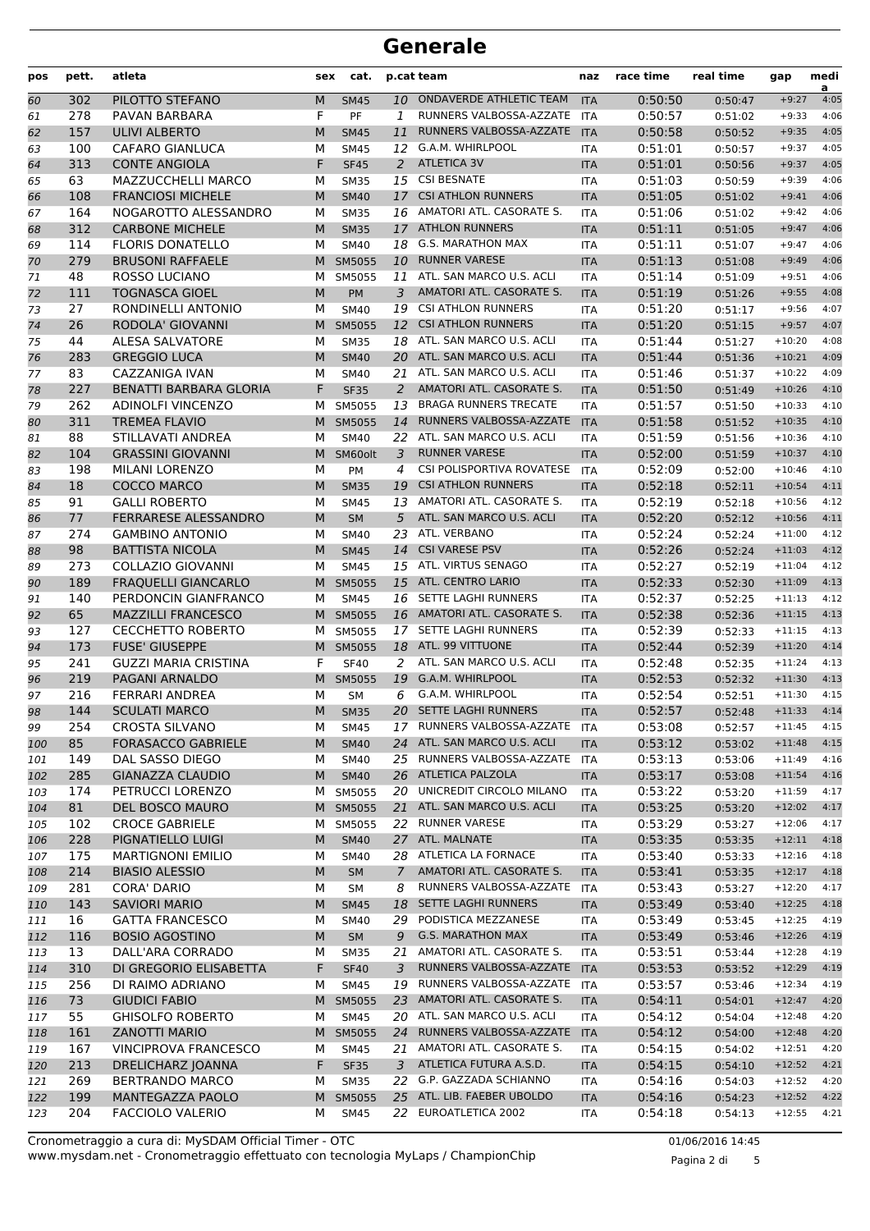| pos        | pett.      | atleta                                     | sex    | cat.                  |                | p.cat team                                          | naz                      | race time          | real time          | gap                  | medi<br>a    |
|------------|------------|--------------------------------------------|--------|-----------------------|----------------|-----------------------------------------------------|--------------------------|--------------------|--------------------|----------------------|--------------|
| 60         | 302        | PILOTTO STEFANO                            | M      | <b>SM45</b>           | 10             | <b>ONDAVERDE ATHLETIC TEAM</b>                      | <b>ITA</b>               | 0:50:50            | 0:50:47            | $+9:27$              | 4:05         |
| 61         | 278        | PAVAN BARBARA                              | F      | PF                    | $\mathbf{1}$   | RUNNERS VALBOSSA-AZZATE                             | <b>ITA</b>               | 0:50:57            | 0:51:02            | $+9:33$              | 4:06         |
| 62         | 157        | <b>ULIVI ALBERTO</b>                       | M      | <b>SM45</b>           | 11             | RUNNERS VALBOSSA-AZZATE                             | <b>ITA</b>               | 0:50:58            | 0:50:52            | $+9:35$              | 4:05         |
| 63         | 100        | <b>CAFARO GIANLUCA</b>                     | М      | <b>SM45</b>           | 12             | G.A.M. WHIRLPOOL                                    | <b>ITA</b>               | 0:51:01            | 0:50:57            | $+9:37$              | 4:05         |
| 64         | 313        | <b>CONTE ANGIOLA</b>                       | F      | <b>SF45</b>           | 2              | <b>ATLETICA 3V</b>                                  | <b>ITA</b>               | 0:51:01            | 0:50:56            | $+9:37$              | 4:05         |
| 65         | 63         | MAZZUCCHELLI MARCO                         | М      | <b>SM35</b>           | 15             | <b>CSI BESNATE</b>                                  | <b>ITA</b>               | 0:51:03            | 0:50:59            | $+9:39$              | 4:06         |
| 66         | 108        | <b>FRANCIOSI MICHELE</b>                   | M      | <b>SM40</b>           | 17             | <b>CSI ATHLON RUNNERS</b>                           | <b>ITA</b>               | 0:51:05            | 0:51:02            | $+9:41$              | 4:06         |
| 67         | 164        | NOGAROTTO ALESSANDRO                       | М      | <b>SM35</b>           |                | 16 AMATORI ATL. CASORATE S.                         | <b>ITA</b>               | 0:51:06            | 0:51:02            | $+9:42$              | 4:06         |
| 68         | 312        | <b>CARBONE MICHELE</b>                     | M      | <b>SM35</b>           |                | 17 ATHLON RUNNERS                                   | <b>ITA</b>               | 0:51:11            | 0:51:05            | $+9:47$              | 4:06         |
| 69         | 114        | <b>FLORIS DONATELLO</b>                    | М      | <b>SM40</b>           | 18             | <b>G.S. MARATHON MAX</b>                            | <b>ITA</b>               | 0:51:11            | 0:51:07            | $+9:47$              | 4:06         |
| 70         | 279        | <b>BRUSONI RAFFAELE</b>                    | M      | SM5055                | 10             | <b>RUNNER VARESE</b>                                | <b>ITA</b>               | 0:51:13            | 0:51:08            | $+9:49$              | 4:06         |
| 71         | 48         | <b>ROSSO LUCIANO</b>                       | М      | SM5055                | 11             | ATL. SAN MARCO U.S. ACLI                            | <b>ITA</b>               | 0:51:14            | 0:51:09            | $+9:51$              | 4:06         |
| 72         | 111        | <b>TOGNASCA GIOEL</b>                      | M      | PM                    | 3              | AMATORI ATL. CASORATE S.                            | <b>ITA</b>               | 0:51:19            | 0:51:26            | $+9:55$              | 4:08         |
| 73         | 27         | RONDINELLI ANTONIO                         | М      | <b>SM40</b>           | 19             | <b>CSI ATHLON RUNNERS</b>                           | <b>ITA</b>               | 0:51:20            | 0:51:17            | $+9:56$              | 4:07         |
| 74         | 26         | <b>RODOLA' GIOVANNI</b>                    | M      | SM5055                | 12             | <b>CSI ATHLON RUNNERS</b>                           | <b>ITA</b>               | 0:51:20            | 0:51:15            | $+9:57$              | 4:07         |
| 75         | 44         | <b>ALESA SALVATORE</b>                     | м      | <b>SM35</b>           | 18             | ATL. SAN MARCO U.S. ACLI                            | <b>ITA</b>               | 0:51:44            | 0:51:27            | $+10:20$             | 4:08         |
| 76         | 283        | <b>GREGGIO LUCA</b>                        | M      | <b>SM40</b>           | 20             | ATL. SAN MARCO U.S. ACLI                            | <b>ITA</b>               | 0:51:44            | 0:51:36            | $+10:21$             | 4:09         |
| 77         | 83         | CAZZANIGA IVAN                             | М      | <b>SM40</b>           | 21             | ATL. SAN MARCO U.S. ACLI                            | <b>ITA</b>               | 0:51:46            | 0:51:37            | $+10:22$             | 4:09         |
| 78         | 227        | <b>BENATTI BARBARA GLORIA</b>              | F      | <b>SF35</b>           | $\overline{2}$ | AMATORI ATL. CASORATE S.                            | <b>ITA</b>               | 0:51:50            | 0:51:49            | $+10:26$             | 4:10         |
| 79         | 262        | <b>ADINOLFI VINCENZO</b>                   | М      | SM5055                | 13             | <b>BRAGA RUNNERS TRECATE</b>                        | <b>ITA</b>               | 0:51:57            | 0:51:50            | $+10:33$             | 4:10         |
| 80         | 311        | <b>TREMEA FLAVIO</b>                       | M      | SM5055                | 14             | RUNNERS VALBOSSA-AZZATE                             | <b>ITA</b>               | 0:51:58            | 0:51:52            | $+10:35$             | 4:10         |
| 81         | 88         | STILLAVATI ANDREA                          | М      | <b>SM40</b>           | 22             | ATL. SAN MARCO U.S. ACLI                            | <b>ITA</b>               | 0:51:59            | 0:51:56            | $+10:36$             | 4:10         |
| 82         | 104        | <b>GRASSINI GIOVANNI</b>                   | M      | SM60olt               | 3              | <b>RUNNER VARESE</b>                                | <b>ITA</b>               | 0:52:00            | 0:51:59            | $+10:37$             | 4:10         |
| 83         | 198        | MILANI LORENZO                             | М      | PM                    | 4              | <b>CSI POLISPORTIVA ROVATESE</b>                    | <b>ITA</b>               | 0:52:09            | 0:52:00            | $+10:46$             | 4:10         |
| 84         | 18         | <b>COCCO MARCO</b>                         | M      | <b>SM35</b>           | 19             | <b>CSI ATHLON RUNNERS</b>                           | <b>ITA</b>               | 0:52:18            | 0:52:11            | $+10:54$             | 4:11         |
| 85         | 91         | <b>GALLI ROBERTO</b>                       | M      | <b>SM45</b>           |                | 13 AMATORI ATL. CASORATE S.                         | <b>ITA</b>               | 0:52:19            | 0:52:18            | $+10:56$             | 4:12         |
| 86         | 77         | FERRARESE ALESSANDRO                       | M      | <b>SM</b>             | 5              | ATL. SAN MARCO U.S. ACLI                            | <b>ITA</b>               | 0:52:20            | 0:52:12            | $+10:56$             | 4:11         |
| 87         | 274        | <b>GAMBINO ANTONIO</b>                     | м      | <b>SM40</b>           | 23             | ATL. VERBANO                                        | <b>ITA</b>               | 0:52:24            | 0:52:24            | $+11:00$             | 4:12         |
| 88         | 98         | <b>BATTISTA NICOLA</b>                     | M      | <b>SM45</b>           | 14             | <b>CSI VARESE PSV</b>                               | <b>ITA</b>               | 0:52:26            | 0:52:24            | $+11:03$             | 4:12         |
| 89         | 273        | <b>COLLAZIO GIOVANNI</b>                   | М      | <b>SM45</b>           |                | 15 ATL. VIRTUS SENAGO                               | <b>ITA</b>               | 0:52:27            | 0:52:19            | $+11:04$             | 4:12         |
| 90         | 189        | <b>FRAQUELLI GIANCARLO</b>                 | M      | SM5055                | 15             | ATL. CENTRO LARIO                                   | <b>ITA</b>               | 0:52:33            | 0:52:30            | $+11:09$             | 4:13         |
| 91         | 140        | PERDONCIN GIANFRANCO                       | М      | <b>SM45</b>           |                | 16 SETTE LAGHI RUNNERS                              | <b>ITA</b>               | 0:52:37            | 0:52:25            | $+11:13$             | 4:12         |
| 92         | 65         | <b>MAZZILLI FRANCESCO</b>                  | M      | SM5055                |                | 16 AMATORI ATL. CASORATE S.                         | <b>ITA</b>               | 0:52:38            | 0:52:36            | $+11:15$             | 4:13         |
| 93         | 127        | <b>CECCHETTO ROBERTO</b>                   | м      | SM5055                | 17             | SETTE LAGHI RUNNERS                                 | <b>ITA</b>               | 0:52:39            | 0:52:33            | $+11:15$             | 4:13         |
| 94         | 173        | <b>FUSE' GIUSEPPE</b>                      | M      | SM5055                | 18             | ATL, 99 VITTUONE                                    | <b>ITA</b>               | 0:52:44            | 0:52:39            | $+11:20$             | 4:14         |
| 95         | 241        | <b>GUZZI MARIA CRISTINA</b>                | F      | <b>SF40</b>           | 2              | ATL. SAN MARCO U.S. ACLI                            | <b>ITA</b>               | 0:52:48            | 0:52:35            | $+11:24$             | 4:13         |
| 96         | 219        | <b>PAGANI ARNALDO</b>                      | M      | SM5055                | 19             | G.A.M. WHIRLPOOL                                    | <b>ITA</b>               | 0:52:53            | 0:52:32            | $+11:30$             | 4:13         |
| 97         | 216        | FERRARI ANDREA                             | М      | <b>SM</b>             | 6              | G.A.M. WHIRLPOOL                                    | <b>ITA</b>               | 0:52:54            | 0:52:51            | $+11:30$             | 4:15         |
| 98         | 144        | <b>SCULATI MARCO</b>                       | M      | <b>SM35</b>           | 20             | SETTE LAGHI RUNNERS                                 | <b>ITA</b>               | 0:52:57            | 0:52:48            | $+11:33$             | 4:14         |
| 99         | 254        | <b>CROSTA SILVANO</b>                      | М      | <b>SM45</b>           |                | 17 RUNNERS VALBOSSA-AZZATE                          | ITA                      | 0:53:08            | 0:52:57            | $+11:45$             | 4:15         |
| 100        | 85         | <b>FORASACCO GABRIELE</b>                  | M      | <b>SM40</b>           |                | 24 ATL. SAN MARCO U.S. ACLI                         | <b>ITA</b>               | 0:53:12            | 0:53:02            | $+11:48$             | 4:15         |
| 101        | 149        | DAL SASSO DIEGO                            | М      | SM40                  | 25             | RUNNERS VALBOSSA-AZZATE                             | <b>ITA</b>               | 0:53:13            | 0:53:06            | $+11:49$             | 4:16         |
| 102        | 285        | <b>GIANAZZA CLAUDIO</b>                    | M      | <b>SM40</b>           |                | 26 ATLETICA PALZOLA<br>20 UNICREDIT CIRCOLO MILANO  | <b>ITA</b>               | 0:53:17            | 0:53:08            | $+11:54$             | 4:16         |
| 103        | 174        | PETRUCCI LORENZO                           |        | M SM5055              |                |                                                     | ITA                      | 0:53:22            | 0:53:20            | $+11:59$             | 4:17         |
| 104        | 81         | DEL BOSCO MAURO                            | M      | SM5055                | 22             | 21 ATL. SAN MARCO U.S. ACLI<br><b>RUNNER VARESE</b> | <b>ITA</b>               | 0:53:25            | 0:53:20            | $+12:02$<br>$+12:06$ | 4:17         |
| 105        | 102<br>228 | <b>CROCE GABRIELE</b><br>PIGNATIELLO LUIGI | M<br>M | SM5055<br><b>SM40</b> |                | 27 ATL. MALNATE                                     | ITA                      | 0:53:29<br>0:53:35 | 0:53:27            | $+12:11$             | 4:17<br>4:18 |
| 106        | 175        | <b>MARTIGNONI EMILIO</b>                   |        | SM40                  |                | 28 ATLETICA LA FORNACE                              | <b>ITA</b>               | 0:53:40            | 0:53:35            | $+12:16$             | 4:18         |
| 107<br>108 | 214        | <b>BIASIO ALESSIO</b>                      | М<br>M | SM                    | $\overline{7}$ | AMATORI ATL. CASORATE S.                            | <b>ITA</b><br><b>ITA</b> | 0:53:41            | 0:53:33<br>0:53:35 | $+12:17$             | 4:18         |
| 109        | 281        | <b>CORA' DARIO</b>                         | М      | SM                    | 8              | RUNNERS VALBOSSA-AZZATE                             | <b>ITA</b>               | 0:53:43            | 0:53:27            | $+12:20$             | 4:17         |
| 110        | 143        | <b>SAVIORI MARIO</b>                       | M      | <b>SM45</b>           | 18             | SETTE LAGHI RUNNERS                                 | <b>ITA</b>               | 0:53:49            | 0:53:40            | $+12:25$             | 4:18         |
| 111        | 16         | <b>GATTA FRANCESCO</b>                     | М      | <b>SM40</b>           | 29             | PODISTICA MEZZANESE                                 | ITA                      | 0:53:49            | 0:53:45            | $+12:25$             | 4:19         |
| 112        | 116        | <b>BOSIO AGOSTINO</b>                      | M      | <b>SM</b>             | 9              | <b>G.S. MARATHON MAX</b>                            | <b>ITA</b>               | 0:53:49            | 0:53:46            | $+12:26$             | 4:19         |
| 113        | 13         | DALL'ARA CORRADO                           | М      | <b>SM35</b>           | 21             | AMATORI ATL. CASORATE S.                            | <b>ITA</b>               | 0:53:51            | 0:53:44            | $+12:28$             | 4:19         |
| 114        | 310        | DI GREGORIO ELISABETTA                     | F      | <b>SF40</b>           | 3              | RUNNERS VALBOSSA-AZZATE                             | <b>ITA</b>               | 0:53:53            | 0:53:52            | $+12:29$             | 4:19         |
| 115        | 256        | DI RAIMO ADRIANO                           | М      | <b>SM45</b>           |                | 19 RUNNERS VALBOSSA-AZZATE                          | ITA                      | 0:53:57            | 0:53:46            | $+12:34$             | 4:19         |
| 116        | 73         | <b>GIUDICI FABIO</b>                       | M      | SM5055                |                | 23 AMATORI ATL. CASORATE S.                         | <b>ITA</b>               | 0:54:11            | 0:54:01            | $+12:47$             | 4:20         |
| 117        | 55         | <b>GHISOLFO ROBERTO</b>                    | М      | <b>SM45</b>           | 20             | ATL. SAN MARCO U.S. ACLI                            | ITA                      | 0:54:12            | 0:54:04            | $+12:48$             | 4:20         |
| 118        | 161        | <b>ZANOTTI MARIO</b>                       | M      | SM5055                | 24             | RUNNERS VALBOSSA-AZZATE                             | <b>ITA</b>               | 0:54:12            | 0:54:00            | $+12:48$             | 4:20         |
| 119        | 167        | <b>VINCIPROVA FRANCESCO</b>                | М      | SM45                  | 21             | AMATORI ATL. CASORATE S.                            | ITA                      | 0:54:15            | 0:54:02            | $+12:51$             | 4:20         |
| 120        | 213        | <b>DRELICHARZ JOANNA</b>                   | F      | <b>SF35</b>           | $\overline{3}$ | ATLETICA FUTURA A.S.D.                              | <b>ITA</b>               | 0:54:15            | 0:54:10            | $+12:52$             | 4:21         |
| 121        | 269        | <b>BERTRANDO MARCO</b>                     | М      | <b>SM35</b>           |                | 22 G.P. GAZZADA SCHIANNO                            | ITA                      | 0:54:16            | 0:54:03            | $+12:52$             | 4:20         |
| 122        | 199        | MANTEGAZZA PAOLO                           | M      | SM5055                |                | 25 ATL. LIB. FAEBER UBOLDO                          | <b>ITA</b>               | 0:54:16            | 0:54:23            | $+12:52$             | 4:22         |
| 123        | 204        | <b>FACCIOLO VALERIO</b>                    | М      | <b>SM45</b>           |                | 22 EUROATLETICA 2002                                | ITA                      | 0:54:18            | 0:54:13            | $+12:55$             | 4:21         |
|            |            |                                            |        |                       |                |                                                     |                          |                    |                    |                      |              |

Pagina 2 di 5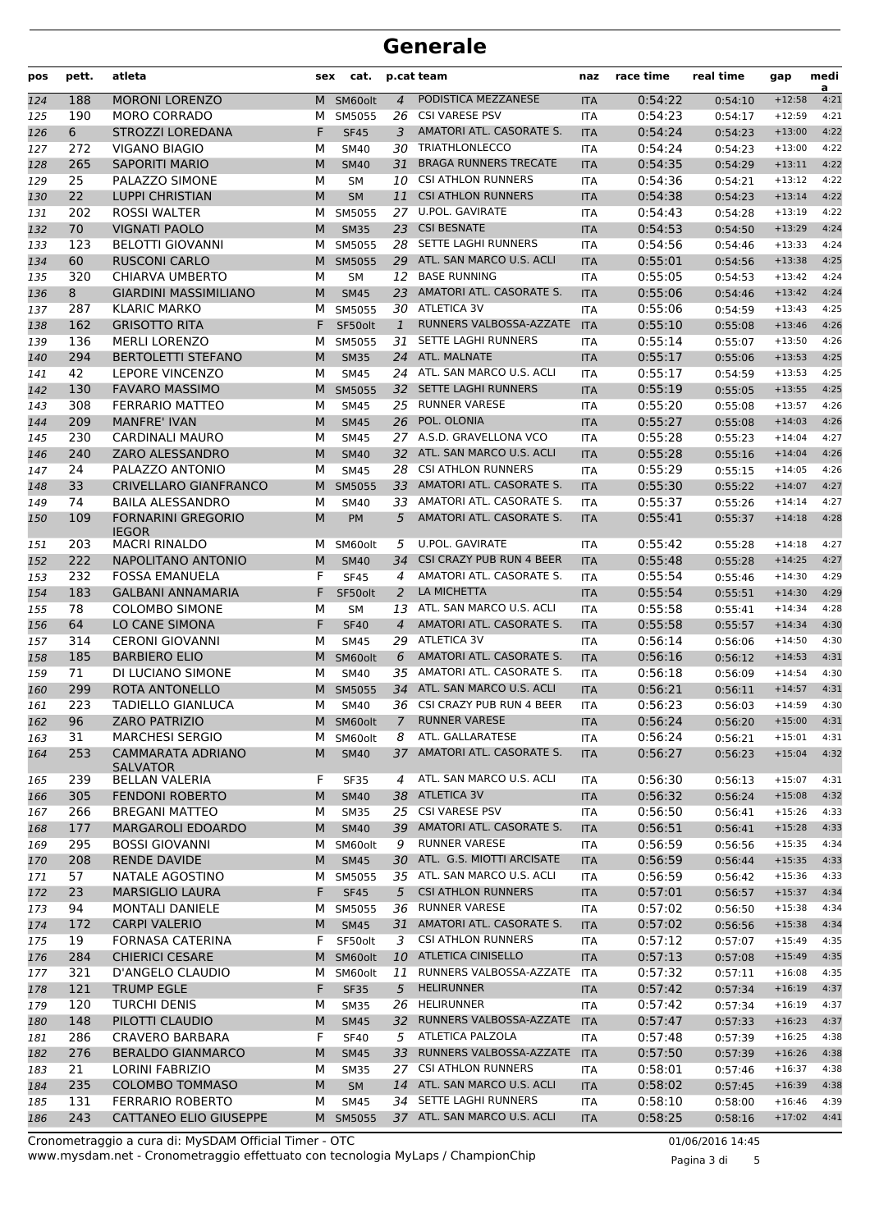| pos | pett. | atleta                                      | sex | cat.        |                | p.cat team                   | naz        | race time | real time | gap      | medi<br>a |
|-----|-------|---------------------------------------------|-----|-------------|----------------|------------------------------|------------|-----------|-----------|----------|-----------|
| 124 | 188   | <b>MORONI LORENZO</b>                       | м   | SM60olt     | 4              | PODISTICA MEZZANESE          | <b>ITA</b> | 0:54:22   | 0:54:10   | $+12:58$ | 4:21      |
| 125 | 190   | <b>MORO CORRADO</b>                         | м   | SM5055      | 26             | <b>CSI VARESE PSV</b>        | <b>ITA</b> | 0:54:23   | 0:54:17   | $+12:59$ | 4:21      |
| 126 | 6     | <b>STROZZI LOREDANA</b>                     | F   | <b>SF45</b> | 3              | AMATORI ATL. CASORATE S.     | <b>ITA</b> | 0:54:24   | 0:54:23   | $+13:00$ | 4:22      |
| 127 | 272   | <b>VIGANO BIAGIO</b>                        | м   | <b>SM40</b> | 30             | <b>TRIATHLONLECCO</b>        | <b>ITA</b> | 0:54:24   | 0:54:23   | $+13:00$ | 4:22      |
| 128 | 265   | <b>SAPORITI MARIO</b>                       | M   | <b>SM40</b> | 31             | <b>BRAGA RUNNERS TRECATE</b> | <b>ITA</b> | 0:54:35   | 0:54:29   | $+13:11$ | 4:22      |
| 129 | 25    | PALAZZO SIMONE                              | М   | SΜ          | 10             | <b>CSI ATHLON RUNNERS</b>    | <b>ITA</b> | 0:54:36   | 0:54:21   | $+13:12$ | 4:22      |
| 130 | 22    | <b>LUPPI CHRISTIAN</b>                      | M   | <b>SM</b>   | 11             | <b>CSI ATHLON RUNNERS</b>    | <b>ITA</b> | 0:54:38   | 0:54:23   | $+13:14$ | 4:22      |
| 131 | 202   | <b>ROSSI WALTER</b>                         | М   | SM5055      |                | 27 U.POL. GAVIRATE           | <b>ITA</b> | 0:54:43   | 0:54:28   | $+13:19$ | 4:22      |
| 132 | 70    | <b>VIGNATI PAOLO</b>                        | M   | <b>SM35</b> | 23             | <b>CSI BESNATE</b>           | <b>ITA</b> | 0:54:53   | 0:54:50   | $+13:29$ | 4:24      |
| 133 | 123   | <b>BELOTTI GIOVANNI</b>                     | М   | SM5055      | 28             | SETTE LAGHI RUNNERS          | <b>ITA</b> | 0:54:56   | 0:54:46   | $+13:33$ | 4:24      |
| 134 | 60    | <b>RUSCONI CARLO</b>                        | М   | SM5055      | 29             | ATL. SAN MARCO U.S. ACLI     | <b>ITA</b> | 0:55:01   | 0:54:56   | $+13:38$ | 4:25      |
| 135 | 320   | CHIARVA UMBERTO                             | М   | <b>SM</b>   | 12             | <b>BASE RUNNING</b>          | <b>ITA</b> | 0:55:05   | 0:54:53   | $+13:42$ | 4:24      |
| 136 | 8     | <b>GIARDINI MASSIMILIANO</b>                | M   | <b>SM45</b> | 23             | AMATORI ATL. CASORATE S.     | <b>ITA</b> | 0:55:06   | 0:54:46   | $+13:42$ | 4:24      |
| 137 | 287   | <b>KLARIC MARKO</b>                         | М   | SM5055      |                | 30 ATLETICA 3V               | <b>ITA</b> | 0:55:06   | 0:54:59   | $+13:43$ | 4:25      |
| 138 | 162   | <b>GRISOTTO RITA</b>                        | F   | SF50olt     | $\mathbf{1}$   | RUNNERS VALBOSSA-AZZATE      | <b>ITA</b> | 0:55:10   | 0:55:08   | $+13:46$ | 4:26      |
| 139 | 136   | <b>MERLI LORENZO</b>                        | М   | SM5055      | 31             | SETTE LAGHI RUNNERS          | <b>ITA</b> | 0:55:14   | 0:55:07   | $+13:50$ | 4:26      |
| 140 | 294   | <b>BERTOLETTI STEFANO</b>                   | M   | <b>SM35</b> | 24             | ATL. MALNATE                 | <b>ITA</b> | 0:55:17   | 0:55:06   | $+13:53$ | 4:25      |
| 141 | 42    | <b>LEPORE VINCENZO</b>                      | М   | <b>SM45</b> |                | 24 ATL. SAN MARCO U.S. ACLI  | <b>ITA</b> | 0:55:17   | 0:54:59   | $+13:53$ | 4:25      |
| 142 | 130   | <b>FAVARO MASSIMO</b>                       | М   | SM5055      | 32             | SETTE LAGHI RUNNERS          | <b>ITA</b> | 0:55:19   | 0:55:05   | $+13:55$ | 4:25      |
| 143 | 308   | <b>FERRARIO MATTEO</b>                      | М   | <b>SM45</b> |                | 25 RUNNER VARESE             | <b>ITA</b> | 0:55:20   | 0:55:08   | $+13:57$ | 4:26      |
| 144 | 209   | <b>MANFRE' IVAN</b>                         | M   | <b>SM45</b> | 26             | POL. OLONIA                  | <b>ITA</b> | 0:55:27   | 0:55:08   | $+14:03$ | 4:26      |
| 145 | 230   | CARDINALI MAURO                             | М   | <b>SM45</b> |                | 27 A.S.D. GRAVELLONA VCO     | <b>ITA</b> | 0:55:28   | 0:55:23   | $+14:04$ | 4:27      |
| 146 | 240   | ZARO ALESSANDRO                             | M   | <b>SM40</b> |                | 32 ATL. SAN MARCO U.S. ACLI  | <b>ITA</b> | 0:55:28   | 0:55:16   | $+14:04$ | 4:26      |
| 147 | 24    | PALAZZO ANTONIO                             | М   | <b>SM45</b> | 28             | <b>CSI ATHLON RUNNERS</b>    | <b>ITA</b> | 0:55:29   | 0:55:15   | $+14:05$ | 4:26      |
| 148 | 33    | <b>CRIVELLARO GIANFRANCO</b>                | M   | SM5055      | 33             | AMATORI ATL. CASORATE S.     | <b>ITA</b> | 0:55:30   | 0:55:22   | $+14:07$ | 4:27      |
| 149 | 74    | <b>BAILA ALESSANDRO</b>                     | M   | SM40        |                | 33 AMATORI ATL. CASORATE S.  | <b>ITA</b> | 0:55:37   | 0:55:26   | $+14:14$ | 4:27      |
| 150 | 109   | <b>FORNARINI GREGORIO</b><br><b>IEGOR</b>   | M   | PM          | 5              | AMATORI ATL. CASORATE S.     | <b>ITA</b> | 0:55:41   | 0:55:37   | $+14:18$ | 4:28      |
| 151 | 203   | <b>MACRI RINALDO</b>                        | м   | SM60olt     | 5              | <b>U.POL. GAVIRATE</b>       | ITA        | 0:55:42   | 0:55:28   | $+14:18$ | 4:27      |
| 152 | 222   | NAPOLITANO ANTONIO                          | M   | <b>SM40</b> | 34             | CSI CRAZY PUB RUN 4 BEER     | <b>ITA</b> | 0:55:48   | 0:55:28   | $+14:25$ | 4:27      |
| 153 | 232   | <b>FOSSA EMANUELA</b>                       | F   | <b>SF45</b> | 4              | AMATORI ATL. CASORATE S.     | <b>ITA</b> | 0:55:54   | 0:55:46   | $+14:30$ | 4:29      |
| 154 | 183   | <b>GALBANI ANNAMARIA</b>                    | F   | SF50olt     | 2              | LA MICHETTA                  | <b>ITA</b> | 0:55:54   | 0:55:51   | $+14:30$ | 4:29      |
| 155 | 78    | <b>COLOMBO SIMONE</b>                       | М   | <b>SM</b>   |                | 13 ATL. SAN MARCO U.S. ACLI  | <b>ITA</b> | 0:55:58   | 0:55:41   | $+14:34$ | 4:28      |
| 156 | 64    | LO CANE SIMONA                              | F   | <b>SF40</b> | $\overline{4}$ | AMATORI ATL. CASORATE S.     | <b>ITA</b> | 0:55:58   | 0:55:57   | $+14:34$ | 4:30      |
| 157 | 314   | <b>CERONI GIOVANNI</b>                      | М   | <b>SM45</b> |                | 29 ATLETICA 3V               | <b>ITA</b> | 0:56:14   | 0:56:06   | $+14:50$ | 4:30      |
| 158 | 185   | <b>BARBIERO ELIO</b>                        | M   | SM60olt     | 6              | AMATORI ATL. CASORATE S.     | <b>ITA</b> | 0:56:16   | 0:56:12   | $+14:53$ | 4:31      |
| 159 | 71    | DI LUCIANO SIMONE                           | М   | SM40        | 35             | AMATORI ATL. CASORATE S.     | <b>ITA</b> | 0:56:18   | 0:56:09   | $+14:54$ | 4:30      |
| 160 | 299   | ROTA ANTONELLO                              | M   | SM5055      | 34             | ATL. SAN MARCO U.S. ACLI     | <b>ITA</b> | 0:56:21   | 0:56:11   | $+14:57$ | 4:31      |
| 161 | 223   | TADIELLO GIANLUCA                           | м   | SM40        |                | 36 CSI CRAZY PUB RUN 4 BEER  | <b>ITA</b> | 0:56:23   | 0:56:03   | $+14:59$ | 4:30      |
| 162 | 96    | ZARO PATRIZIO                               |     | M SM60olt   | $\overline{7}$ | <b>RUNNER VARESE</b>         | <b>ITA</b> | 0:56:24   | 0:56:20   | $+15:00$ | 4:31      |
| 163 | 31    | <b>MARCHESI SERGIO</b>                      | м   | SM60olt     | 8              | ATL. GALLARATESE             | <b>ITA</b> | 0:56:24   | 0:56:21   | $+15:01$ | 4:31      |
| 164 | 253   | <b>CAMMARATA ADRIANO</b><br><b>SALVATOR</b> | М   | <b>SM40</b> | 37             | AMATORI ATL. CASORATE S.     | <b>ITA</b> | 0:56:27   | 0:56:23   | $+15:04$ | 4:32      |
| 165 | 239   | <b>BELLAN VALERIA</b>                       | F   | <b>SF35</b> | 4              | ATL. SAN MARCO U.S. ACLI     | ITA        | 0:56:30   | 0:56:13   | $+15:07$ | 4:31      |
| 166 | 305   | <b>FENDONI ROBERTO</b>                      | М   | <b>SM40</b> | 38             | <b>ATLETICA 3V</b>           | <b>ITA</b> | 0:56:32   | 0:56:24   | $+15:08$ | 4:32      |
| 167 | 266   | <b>BREGANI MATTEO</b>                       | М   | <b>SM35</b> | 25             | <b>CSI VARESE PSV</b>        | ITA        | 0:56:50   | 0:56:41   | $+15:26$ | 4:33      |
| 168 | 177   | <b>MARGAROLI EDOARDO</b>                    | M   | <b>SM40</b> |                | 39 AMATORI ATL. CASORATE S.  | <b>ITA</b> | 0:56:51   | 0:56:41   | $+15:28$ | 4:33      |
| 169 | 295   | <b>BOSSI GIOVANNI</b>                       | м   | SM60olt     | 9              | <b>RUNNER VARESE</b>         | <b>ITA</b> | 0:56:59   | 0:56:56   | $+15:35$ | 4:34      |
| 170 | 208   | <b>RENDE DAVIDE</b>                         | М   | <b>SM45</b> |                | 30 ATL. G.S. MIOTTI ARCISATE | <b>ITA</b> | 0:56:59   | 0:56:44   | $+15:35$ | 4:33      |
| 171 | 57    | NATALE AGOSTINO                             | M   | SM5055      |                | 35 ATL. SAN MARCO U.S. ACLI  | ITA        | 0:56:59   | 0:56:42   | $+15:36$ | 4:33      |
| 172 | 23    | <b>MARSIGLIO LAURA</b>                      | F   | <b>SF45</b> | 5              | <b>CSI ATHLON RUNNERS</b>    | <b>ITA</b> | 0:57:01   | 0:56:57   | $+15:37$ | 4:34      |
| 173 | 94    | <b>MONTALI DANIELE</b>                      | M   | SM5055      | 36             | <b>RUNNER VARESE</b>         | ITA        | 0:57:02   | 0:56:50   | $+15:38$ | 4:34      |
| 174 | 172   | <b>CARPI VALERIO</b>                        | M   | <b>SM45</b> |                | 31 AMATORI ATL. CASORATE S.  | <b>ITA</b> | 0:57:02   | 0:56:56   | $+15:38$ | 4:34      |
| 175 | 19    | FORNASA CATERINA                            | F   | SF50olt     | 3              | <b>CSI ATHLON RUNNERS</b>    | <b>ITA</b> | 0:57:12   | 0:57:07   | $+15:49$ | 4:35      |
| 176 | 284   | <b>CHIERICI CESARE</b>                      | M   | SM60olt     |                | 10 ATLETICA CINISELLO        | <b>ITA</b> | 0:57:13   | 0:57:08   | $+15:49$ | 4:35      |
| 177 | 321   | D'ANGELO CLAUDIO                            | M   | SM60olt     | 11             | RUNNERS VALBOSSA-AZZATE      | ITA        | 0:57:32   | 0:57:11   | $+16:08$ | 4:35      |
| 178 | 121   | <b>TRUMP EGLE</b>                           | F   | <b>SF35</b> | 5              | <b>HELIRUNNER</b>            | <b>ITA</b> | 0:57:42   | 0:57:34   | $+16:19$ | 4:37      |
| 179 | 120   | <b>TURCHI DENIS</b>                         | М   | <b>SM35</b> | 26             | HELIRUNNER                   | ITA        | 0:57:42   | 0:57:34   | $+16:19$ | 4:37      |
| 180 | 148   | PILOTTI CLAUDIO                             | M   | <b>SM45</b> |                | 32 RUNNERS VALBOSSA-AZZATE   | <b>ITA</b> | 0:57:47   | 0:57:33   | $+16:23$ | 4:37      |
| 181 | 286   | <b>CRAVERO BARBARA</b>                      | F   | <b>SF40</b> | 5              | ATLETICA PALZOLA             | ITA        | 0:57:48   | 0:57:39   | $+16:25$ | 4:38      |
| 182 | 276   | <b>BERALDO GIANMARCO</b>                    | М   | <b>SM45</b> | 33             | RUNNERS VALBOSSA-AZZATE      | <b>ITA</b> | 0:57:50   | 0:57:39   | $+16:26$ | 4:38      |
| 183 | 21    | <b>LORINI FABRIZIO</b>                      | М   | <b>SM35</b> | 27             | <b>CSI ATHLON RUNNERS</b>    | ITA        | 0:58:01   | 0:57:46   | $+16:37$ | 4:38      |
| 184 | 235   | <b>COLOMBO TOMMASO</b>                      | M   | SM          |                | 14 ATL. SAN MARCO U.S. ACLI  | <b>ITA</b> | 0:58:02   | 0:57:45   | $+16:39$ | 4:38      |
| 185 | 131   | <b>FERRARIO ROBERTO</b>                     | М   | SM45        |                | 34 SETTE LAGHI RUNNERS       | <b>ITA</b> | 0:58:10   | 0:58:00   | $+16:46$ | 4:39      |
| 186 | 243   | <b>CATTANEO ELIO GIUSEPPE</b>               | M   | SM5055      |                | 37 ATL. SAN MARCO U.S. ACLI  | <b>ITA</b> | 0:58:25   | 0:58:16   | $+17:02$ | 4:41      |
|     |       |                                             |     |             |                |                              |            |           |           |          |           |

www.mysdam.net - Cronometraggio effettuato con tecnologia MyLaps / ChampionChip Cronometraggio a cura di: MySDAM Official Timer - OTC 01/06/2016 14:45

Pagina 3 di 5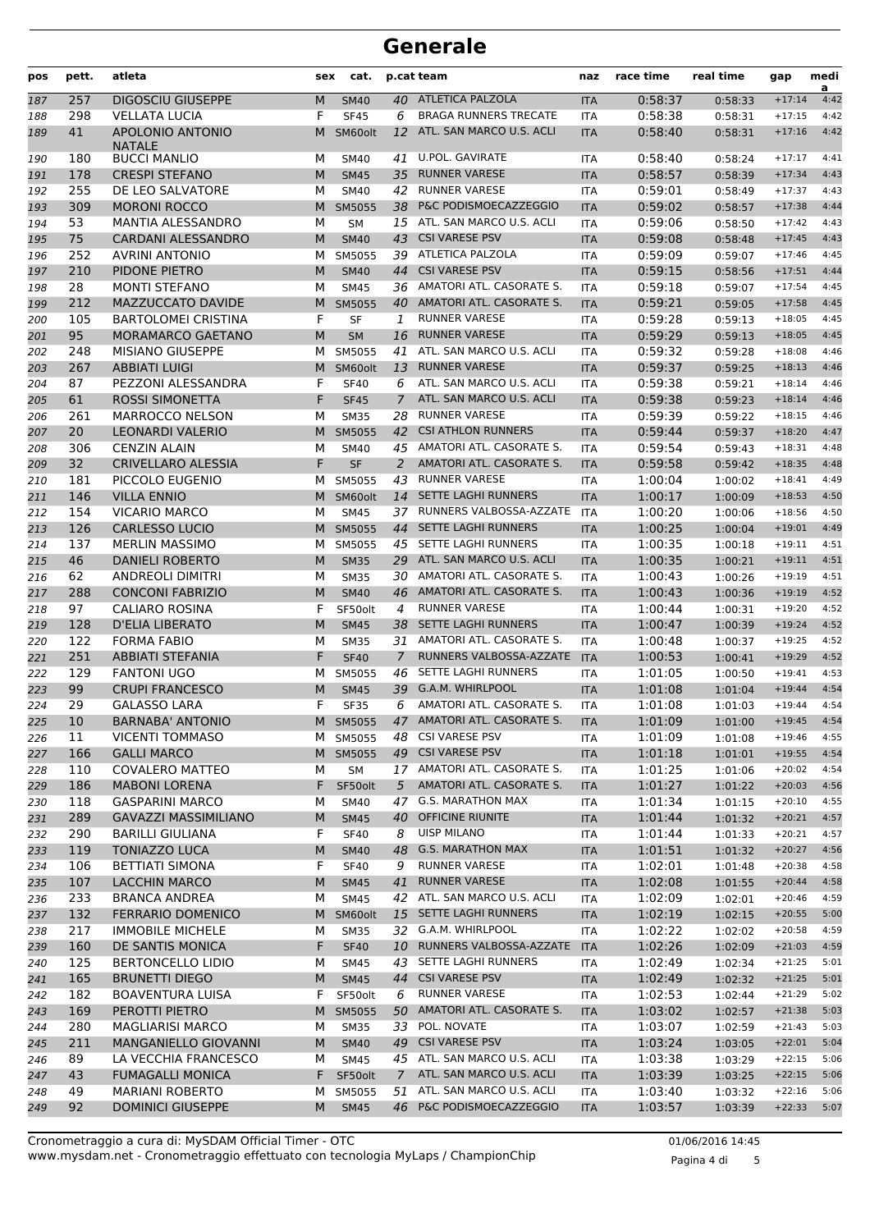| pos        | pett.      | atleta                                        | sex    | cat.                  |                      | p.cat team                                             | naz                      | race time          | real time          | gap                  | medi<br>a    |
|------------|------------|-----------------------------------------------|--------|-----------------------|----------------------|--------------------------------------------------------|--------------------------|--------------------|--------------------|----------------------|--------------|
| 187        | 257        | <b>DIGOSCIU GIUSEPPE</b>                      | M      | <b>SM40</b>           | 40                   | ATLETICA PALZOLA                                       | <b>ITA</b>               | 0:58:37            | 0:58:33            | $+17:14$             | 4:42         |
| 188        | 298        | <b>VELLATA LUCIA</b>                          | F      | <b>SF45</b>           | 6                    | <b>BRAGA RUNNERS TRECATE</b>                           | <b>ITA</b>               | 0:58:38            | 0:58:31            | $+17:15$             | 4:42         |
| 189        | 41         | APOLONIO ANTONIO<br><b>NATALE</b>             | M      | SM60olt               | 12                   | ATL. SAN MARCO U.S. ACLI                               | <b>ITA</b>               | 0:58:40            | 0:58:31            | $+17:16$             | 4:42         |
| 190        | 180        | <b>BUCCI MANLIO</b>                           | м      | <b>SM40</b>           | 41                   | <b>U.POL. GAVIRATE</b>                                 | <b>ITA</b>               | 0:58:40            | 0:58:24            | $+17:17$             | 4:41         |
| 191        | 178        | <b>CRESPI STEFANO</b>                         | M      | <b>SM45</b>           | 35                   | <b>RUNNER VARESE</b>                                   | <b>ITA</b>               | 0:58:57            | 0:58:39            | $+17:34$             | 4:43         |
| 192        | 255        | DE LEO SALVATORE                              | М      | <b>SM40</b>           | 42                   | <b>RUNNER VARESE</b>                                   | <b>ITA</b>               | 0:59:01            | 0:58:49            | $+17:37$             | 4:43         |
| 193        | 309        | <b>MORONI ROCCO</b>                           | M      | SM5055                | 38                   | P&C PODISMOECAZZEGGIO                                  | <b>ITA</b>               | 0:59:02            | 0:58:57            | $+17:38$             | 4:44         |
| 194        | 53         | <b>MANTIA ALESSANDRO</b>                      | М      | <b>SM</b>             | 15                   | ATL. SAN MARCO U.S. ACLI                               | <b>ITA</b>               | 0:59:06            | 0:58:50            | $+17:42$             | 4:43         |
| 195        | 75<br>252  | <b>CARDANI ALESSANDRO</b>                     | M      | <b>SM40</b>           | 43                   | <b>CSI VARESE PSV</b><br>39 ATLETICA PALZOLA           | <b>ITA</b>               | 0:59:08<br>0:59:09 | 0:58:48            | $+17:45$             | 4:43<br>4:45 |
| 196        | 210        | <b>AVRINI ANTONIO</b><br>PIDONE PIETRO        | М<br>M | SM5055<br><b>SM40</b> | 44                   | <b>CSI VARESE PSV</b>                                  | <b>ITA</b><br><b>ITA</b> | 0:59:15            | 0:59:07            | $+17:46$<br>$+17:51$ | 4:44         |
| 197<br>198 | 28         | <b>MONTI STEFANO</b>                          | М      | <b>SM45</b>           | 36                   | AMATORI ATL. CASORATE S.                               | <b>ITA</b>               | 0:59:18            | 0:58:56<br>0:59:07 | $+17:54$             | 4:45         |
| 199        | 212        | MAZZUCCATO DAVIDE                             | M      | SM5055                | 40                   | AMATORI ATL. CASORATE S.                               | <b>ITA</b>               | 0:59:21            | 0:59:05            | $+17:58$             | 4:45         |
| 200        | 105        | <b>BARTOLOMEI CRISTINA</b>                    | F      | <b>SF</b>             | 1                    | <b>RUNNER VARESE</b>                                   | <b>ITA</b>               | 0:59:28            | 0:59:13            | $+18:05$             | 4:45         |
| 201        | 95         | MORAMARCO GAETANO                             | M      | <b>SM</b>             | 16                   | <b>RUNNER VARESE</b>                                   | <b>ITA</b>               | 0:59:29            | 0:59:13            | $+18:05$             | 4:45         |
| 202        | 248        | <b>MISIANO GIUSEPPE</b>                       | м      | SM5055                | 41                   | ATL. SAN MARCO U.S. ACLI                               | <b>ITA</b>               | 0:59:32            | 0:59:28            | $+18:08$             | 4:46         |
| 203        | 267        | <b>ABBIATI LUIGI</b>                          | M      | SM60olt               | 13                   | <b>RUNNER VARESE</b>                                   | <b>ITA</b>               | 0:59:37            | 0:59:25            | $+18:13$             | 4:46         |
| 204        | 87         | PEZZONI ALESSANDRA                            | F      | <b>SF40</b>           | 6                    | ATL. SAN MARCO U.S. ACLI                               | <b>ITA</b>               | 0:59:38            | 0:59:21            | $+18:14$             | 4:46         |
| 205        | 61         | <b>ROSSI SIMONETTA</b>                        | F      | <b>SF45</b>           | 7                    | ATL. SAN MARCO U.S. ACLI                               | <b>ITA</b>               | 0:59:38            | 0:59:23            | $+18:14$             | 4:46         |
| 206        | 261        | <b>MARROCCO NELSON</b>                        | М      | <b>SM35</b>           | 28                   | <b>RUNNER VARESE</b>                                   | <b>ITA</b>               | 0:59:39            | 0:59:22            | $+18:15$             | 4:46         |
| 207        | 20         | <b>LEONARDI VALERIO</b>                       | M      | SM5055                | 42                   | <b>CSI ATHLON RUNNERS</b>                              | <b>ITA</b>               | 0:59:44            | 0:59:37            | $+18:20$             | 4:47         |
| 208        | 306        | <b>CENZIN ALAIN</b>                           | М      | <b>SM40</b>           |                      | 45 AMATORI ATL. CASORATE S.                            | <b>ITA</b>               | 0:59:54            | 0:59:43            | $+18:31$             | 4:48         |
| 209        | 32         | <b>CRIVELLARO ALESSIA</b>                     | F      | <b>SF</b>             | $\overline{2}$       | AMATORI ATL. CASORATE S.                               | <b>ITA</b>               | 0:59:58            | 0:59:42            | $+18:35$             | 4:48         |
| 210        | 181        | PICCOLO EUGENIO                               | м      | SM5055                | 43                   | <b>RUNNER VARESE</b>                                   | <b>ITA</b>               | 1:00:04            | 1:00:02            | $+18:41$             | 4:49         |
| 211        | 146        | <b>VILLA ENNIO</b>                            | M      | SM60olt               | 14                   | <b>SETTE LAGHI RUNNERS</b>                             | <b>ITA</b>               | 1:00:17            | 1:00:09            | $+18:53$             | 4:50         |
| 212        | 154        | <b>VICARIO MARCO</b>                          | М      | <b>SM45</b>           | 37                   | RUNNERS VALBOSSA-AZZATE                                | <b>ITA</b>               | 1:00:20            | 1:00:06            | $+18:56$             | 4:50         |
| 213        | 126        | <b>CARLESSO LUCIO</b>                         | M      | SM5055                | 44                   | <b>SETTE LAGHI RUNNERS</b>                             | <b>ITA</b>               | 1:00:25            | 1:00:04            | $+19:01$             | 4:49         |
| 214        | 137        | <b>MERLIN MASSIMO</b>                         | м      | SM5055                |                      | 45 SETTE LAGHI RUNNERS                                 | <b>ITA</b>               | 1:00:35            | 1:00:18            | $+19:11$             | 4:51         |
| 215        | 46         | <b>DANIELI ROBERTO</b>                        | M      | <b>SM35</b>           |                      | 29 ATL. SAN MARCO U.S. ACLI                            | <b>ITA</b>               | 1:00:35            | 1:00:21            | $+19:11$             | 4:51         |
| 216        | 62         | <b>ANDREOLI DIMITRI</b>                       | м      | <b>SM35</b>           | 30                   | AMATORI ATL. CASORATE S.                               | <b>ITA</b>               | 1:00:43            | 1:00:26            | $+19:19$             | 4:51         |
| 217        | 288        | <b>CONCONI FABRIZIO</b>                       | M      | <b>SM40</b>           | 46                   | AMATORI ATL. CASORATE S.                               | <b>ITA</b>               | 1:00:43            | 1:00:36            | $+19:19$             | 4:52         |
| 218        | 97         | <b>CALIARO ROSINA</b>                         | F      | SF50olt               | 4                    | <b>RUNNER VARESE</b>                                   | <b>ITA</b>               | 1:00:44            | 1:00:31            | $+19:20$             | 4:52         |
| 219        | 128        | <b>D'ELIA LIBERATO</b>                        | M      | <b>SM45</b>           | 38                   | <b>SETTE LAGHI RUNNERS</b>                             | <b>ITA</b>               | 1:00:47            | 1:00:39            | $+19:24$             | 4:52         |
| 220        | 122        | <b>FORMA FABIO</b>                            | М      | <b>SM35</b>           |                      | 31 AMATORI ATL. CASORATE S.<br>RUNNERS VALBOSSA-AZZATE | <b>ITA</b>               | 1:00:48            | 1:00:37            | $+19:25$             | 4:52         |
| 221<br>222 | 251<br>129 | <b>ABBIATI STEFANIA</b><br><b>FANTONI UGO</b> | F<br>м | <b>SF40</b><br>SM5055 | $\overline{7}$<br>46 | SETTE LAGHI RUNNERS                                    | <b>ITA</b><br>ITA        | 1:00:53<br>1:01:05 | 1:00:41<br>1:00:50 | $+19:29$<br>$+19:41$ | 4:52<br>4:53 |
| 223        | 99         | <b>CRUPI FRANCESCO</b>                        | M      | <b>SM45</b>           | 39                   | G.A.M. WHIRLPOOL                                       | <b>ITA</b>               | 1:01:08            | 1:01:04            | $+19:44$             | 4:54         |
| 224        | 29         | <b>GALASSO LARA</b>                           | F      | <b>SF35</b>           | 6                    | AMATORI ATL. CASORATE S.                               | <b>ITA</b>               | 1:01:08            | 1:01:03            | $+19:44$             | 4:54         |
| 225        | 10         | <b>BARNABA' ANTONIO</b>                       |        | M SM5055              |                      | 47 AMATORI ATL. CASORATE S.                            | ITA                      | 1:01:09            | 1:01:00            | $+19:45$             | 4:54         |
| 226        | 11         | <b>VICENTI TOMMASO</b>                        | м      | SM5055                |                      | 48 CSI VARESE PSV                                      | ITA                      | 1:01:09            | 1:01:08            | $+19:46$             | 4:55         |
| 227        | 166        | <b>GALLI MARCO</b>                            | M      | SM5055                |                      | 49 CSI VARESE PSV                                      | <b>ITA</b>               | 1:01:18            | 1:01:01            | $+19:55$             | 4:54         |
| 228        | 110        | <b>COVALERO MATTEO</b>                        | М      | SM                    |                      | 17 AMATORI ATL. CASORATE S.                            | ITA                      | 1:01:25            | 1:01:06            | $+20:02$             | 4:54         |
| 229        | 186        | <b>MABONI LORENA</b>                          | F.     | SF50olt               | 5                    | AMATORI ATL. CASORATE S.                               | <b>ITA</b>               | 1:01:27            | 1:01:22            | $+20:03$             | 4:56         |
| 230        | 118        | <b>GASPARINI MARCO</b>                        | м      | SM40                  |                      | 47 G.S. MARATHON MAX                                   | ITA                      | 1:01:34            | 1:01:15            | $+20:10$             | 4:55         |
| 231        | 289        | <b>GAVAZZI MASSIMILIANO</b>                   | M      | <b>SM45</b>           | 40                   | OFFICINE RIUNITE                                       | <b>ITA</b>               | 1:01:44            | 1:01:32            | $+20:21$             | 4:57         |
| 232        | 290        | <b>BARILLI GIULIANA</b>                       | F      | <b>SF40</b>           | 8                    | <b>UISP MILANO</b>                                     | ITA                      | 1:01:44            | 1:01:33            | $+20:21$             | 4:57         |
| 233        | 119        | <b>TONIAZZO LUCA</b>                          | M      | <b>SM40</b>           | 48                   | <b>G.S. MARATHON MAX</b>                               | <b>ITA</b>               | 1:01:51            | 1:01:32            | $+20:27$             | 4:56         |
| 234        | 106        | <b>BETTIATI SIMONA</b>                        | F      | <b>SF40</b>           | 9                    | <b>RUNNER VARESE</b>                                   | ITA                      | 1:02:01            | 1:01:48            | $+20:38$             | 4:58         |
| 235        | 107        | LACCHIN MARCO                                 | M      | <b>SM45</b>           | 41                   | <b>RUNNER VARESE</b>                                   | <b>ITA</b>               | 1:02:08            | 1:01:55            | $+20:44$             | 4:58         |
| 236        | 233        | <b>BRANCA ANDREA</b>                          | М      | <b>SM45</b>           |                      | 42 ATL. SAN MARCO U.S. ACLI                            | <b>ITA</b>               | 1:02:09            | 1:02:01            | $+20:46$             | 4:59         |
| 237        | 132        | <b>FERRARIO DOMENICO</b>                      | M      | SM60olt               |                      | 15 SETTE LAGHI RUNNERS                                 | <b>ITA</b>               | 1:02:19            | 1:02:15            | $+20:55$             | 5:00         |
| 238        | 217        | <b>IMMOBILE MICHELE</b>                       | М      | <b>SM35</b>           |                      | 32 G.A.M. WHIRLPOOL                                    | ITA                      | 1:02:22            | 1:02:02            | $+20:58$             | 4:59         |
| 239        | 160        | DE SANTIS MONICA                              | F      | <b>SF40</b>           | 10                   | RUNNERS VALBOSSA-AZZATE                                | <b>ITA</b>               | 1:02:26            | 1:02:09            | $+21:03$             | 4:59         |
| 240        | 125        | <b>BERTONCELLO LIDIO</b>                      | М      | <b>SM45</b>           | 43                   | SETTE LAGHI RUNNERS                                    | ITA                      | 1:02:49            | 1:02:34            | $+21:25$             | 5:01         |
| 241        | 165        | <b>BRUNETTI DIEGO</b>                         | M      | <b>SM45</b>           | 44                   | <b>CSI VARESE PSV</b>                                  | <b>ITA</b>               | 1:02:49            | 1:02:32            | $+21:25$             | 5:01         |
| 242        | 182        | <b>BOAVENTURA LUISA</b>                       | F      | SF50olt               | 6                    | <b>RUNNER VARESE</b>                                   | ITA                      | 1:02:53            | 1:02:44            | $+21:29$             | 5:02         |
| 243        | 169        | PEROTTI PIETRO                                | M      | SM5055                |                      | 50 AMATORI ATL. CASORATE S.                            | <b>ITA</b>               | 1:03:02            | 1:02:57            | $+21:38$             | 5:03         |
| 244        | 280        | <b>MAGLIARISI MARCO</b>                       | М      | <b>SM35</b>           |                      | 33 POL. NOVATE                                         | ITA                      | 1:03:07            | 1:02:59            | $+21:43$             | 5:03         |
| 245        | 211        | MANGANIELLO GIOVANNI                          | M      | <b>SM40</b>           |                      | 49 CSI VARESE PSV                                      | <b>ITA</b>               | 1:03:24            | 1:03:05            | $+22:01$             | 5:04         |
| 246        | 89         | LA VECCHIA FRANCESCO                          | М      | SM45                  |                      | 45 ATL. SAN MARCO U.S. ACLI                            | ITA                      | 1:03:38            | 1:03:29            | $+22:15$             | 5:06         |
| 247        | 43         | <b>FUMAGALLI MONICA</b>                       | F.     | SF50olt               | $\mathcal{I}$        | ATL. SAN MARCO U.S. ACLI                               | <b>ITA</b>               | 1:03:39            | 1:03:25            | $+22:15$             | 5:06         |
| 248        | 49         | <b>MARIANI ROBERTO</b>                        | м      | SM5055                | 51                   | ATL. SAN MARCO U.S. ACLI<br>46 P&C PODISMOECAZZEGGIO   | ITA                      | 1:03:40            | 1:03:32            | $+22:16$             | 5:06<br>5:07 |
| 249        | 92         | <b>DOMINICI GIUSEPPE</b>                      | M      | <b>SM45</b>           |                      |                                                        | <b>ITA</b>               | 1:03:57            | 1:03:39            | $+22:33$             |              |

Pagina 4 di 5